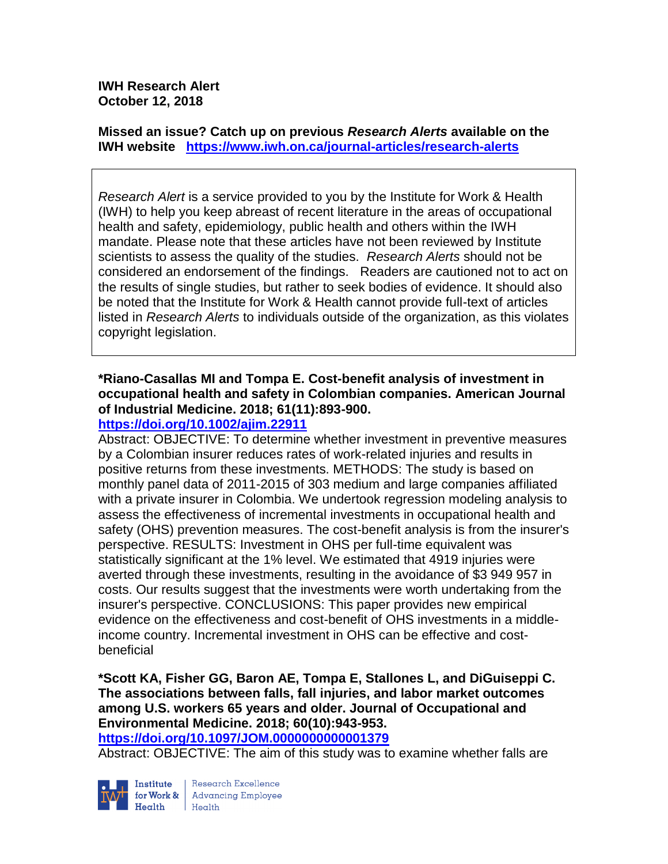**IWH Research Alert October 12, 2018**

**Missed an issue? Catch up on previous** *Research Alerts* **available on the [IWH website](http://www.iwh.on.ca/research-alerts) <https://www.iwh.on.ca/journal-articles/research-alerts>**

*Research Alert* is a service provided to you by the Institute for Work & Health (IWH) to help you keep abreast of recent literature in the areas of occupational health and safety, epidemiology, public health and others within the IWH mandate. Please note that these articles have not been reviewed by Institute scientists to assess the quality of the studies. *Research Alerts* should not be considered an endorsement of the findings. Readers are cautioned not to act on the results of single studies, but rather to seek bodies of evidence. It should also be noted that the Institute for Work & Health cannot provide full-text of articles listed in *Research Alerts* to individuals outside of the organization, as this violates copyright legislation.

# **\*Riano-Casallas MI and Tompa E. Cost-benefit analysis of investment in occupational health and safety in Colombian companies. American Journal of Industrial Medicine. 2018; 61(11):893-900.**

### **<https://doi.org/10.1002/ajim.22911>**

Abstract: OBJECTIVE: To determine whether investment in preventive measures by a Colombian insurer reduces rates of work-related injuries and results in positive returns from these investments. METHODS: The study is based on monthly panel data of 2011-2015 of 303 medium and large companies affiliated with a private insurer in Colombia. We undertook regression modeling analysis to assess the effectiveness of incremental investments in occupational health and safety (OHS) prevention measures. The cost-benefit analysis is from the insurer's perspective. RESULTS: Investment in OHS per full-time equivalent was statistically significant at the 1% level. We estimated that 4919 injuries were averted through these investments, resulting in the avoidance of \$3 949 957 in costs. Our results suggest that the investments were worth undertaking from the insurer's perspective. CONCLUSIONS: This paper provides new empirical evidence on the effectiveness and cost-benefit of OHS investments in a middleincome country. Incremental investment in OHS can be effective and costbeneficial

**\*Scott KA, Fisher GG, Baron AE, Tompa E, Stallones L, and DiGuiseppi C. The associations between falls, fall injuries, and labor market outcomes among U.S. workers 65 years and older. Journal of Occupational and Environmental Medicine. 2018; 60(10):943-953.** 

**<https://doi.org/10.1097/JOM.0000000000001379>** 

Abstract: OBJECTIVE: The aim of this study was to examine whether falls are



Research Excellence Health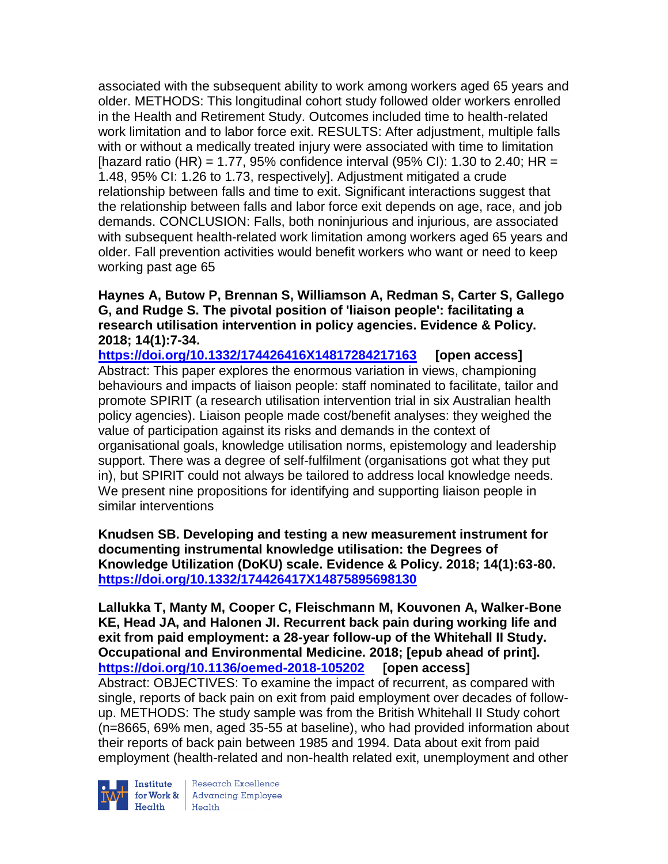associated with the subsequent ability to work among workers aged 65 years and older. METHODS: This longitudinal cohort study followed older workers enrolled in the Health and Retirement Study. Outcomes included time to health-related work limitation and to labor force exit. RESULTS: After adjustment, multiple falls with or without a medically treated injury were associated with time to limitation [hazard ratio (HR) = 1.77, 95% confidence interval (95% CI): 1.30 to 2.40; HR = 1.48, 95% CI: 1.26 to 1.73, respectively]. Adjustment mitigated a crude relationship between falls and time to exit. Significant interactions suggest that the relationship between falls and labor force exit depends on age, race, and job demands. CONCLUSION: Falls, both noninjurious and injurious, are associated with subsequent health-related work limitation among workers aged 65 years and older. Fall prevention activities would benefit workers who want or need to keep working past age 65

### **Haynes A, Butow P, Brennan S, Williamson A, Redman S, Carter S, Gallego G, and Rudge S. The pivotal position of 'liaison people': facilitating a research utilisation intervention in policy agencies. Evidence & Policy. 2018; 14(1):7-34.**

**<https://doi.org/10.1332/174426416X14817284217163> [open access]** Abstract: This paper explores the enormous variation in views, championing behaviours and impacts of liaison people: staff nominated to facilitate, tailor and promote SPIRIT (a research utilisation intervention trial in six Australian health policy agencies). Liaison people made cost/benefit analyses: they weighed the value of participation against its risks and demands in the context of organisational goals, knowledge utilisation norms, epistemology and leadership support. There was a degree of self-fulfilment (organisations got what they put in), but SPIRIT could not always be tailored to address local knowledge needs. We present nine propositions for identifying and supporting liaison people in similar interventions

**Knudsen SB. Developing and testing a new measurement instrument for documenting instrumental knowledge utilisation: the Degrees of Knowledge Utilization (DoKU) scale. Evidence & Policy. 2018; 14(1):63-80. <https://doi.org/10.1332/174426417X14875895698130>** 

**Lallukka T, Manty M, Cooper C, Fleischmann M, Kouvonen A, Walker-Bone KE, Head JA, and Halonen JI. Recurrent back pain during working life and exit from paid employment: a 28-year follow-up of the Whitehall II Study. Occupational and Environmental Medicine. 2018; [epub ahead of print]. <https://doi.org/10.1136/oemed-2018-105202> [open access]** Abstract: OBJECTIVES: To examine the impact of recurrent, as compared with single, reports of back pain on exit from paid employment over decades of followup. METHODS: The study sample was from the British Whitehall II Study cohort (n=8665, 69% men, aged 35-55 at baseline), who had provided information about their reports of back pain between 1985 and 1994. Data about exit from paid employment (health-related and non-health related exit, unemployment and other



Institute Research Excellence<br>for Work & Advancing Employee Health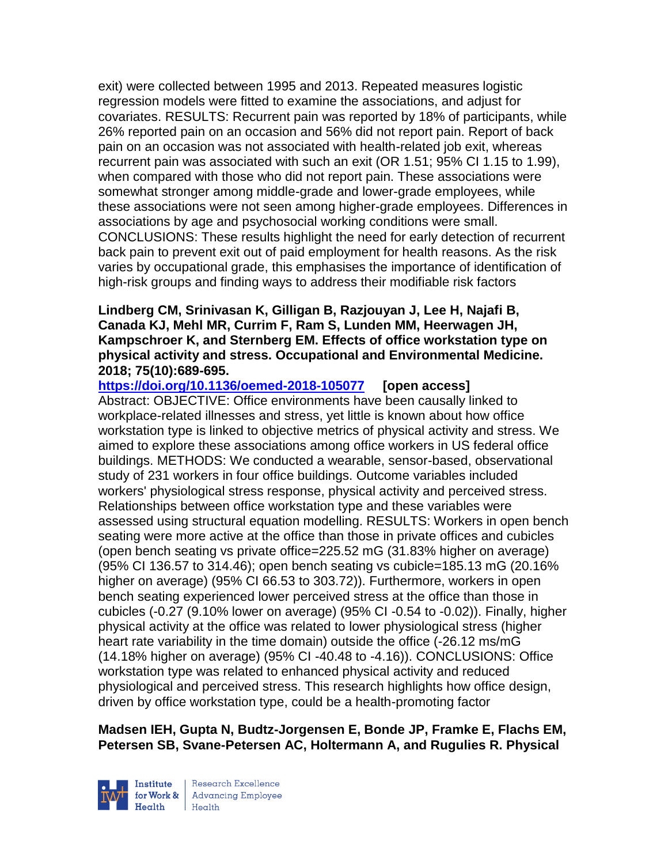exit) were collected between 1995 and 2013. Repeated measures logistic regression models were fitted to examine the associations, and adjust for covariates. RESULTS: Recurrent pain was reported by 18% of participants, while 26% reported pain on an occasion and 56% did not report pain. Report of back pain on an occasion was not associated with health-related job exit, whereas recurrent pain was associated with such an exit (OR 1.51; 95% CI 1.15 to 1.99), when compared with those who did not report pain. These associations were somewhat stronger among middle-grade and lower-grade employees, while these associations were not seen among higher-grade employees. Differences in associations by age and psychosocial working conditions were small. CONCLUSIONS: These results highlight the need for early detection of recurrent back pain to prevent exit out of paid employment for health reasons. As the risk varies by occupational grade, this emphasises the importance of identification of high-risk groups and finding ways to address their modifiable risk factors

#### **Lindberg CM, Srinivasan K, Gilligan B, Razjouyan J, Lee H, Najafi B, Canada KJ, Mehl MR, Currim F, Ram S, Lunden MM, Heerwagen JH, Kampschroer K, and Sternberg EM. Effects of office workstation type on physical activity and stress. Occupational and Environmental Medicine. 2018; 75(10):689-695.**

**<https://doi.org/10.1136/oemed-2018-105077> [open access]**

Abstract: OBJECTIVE: Office environments have been causally linked to workplace-related illnesses and stress, yet little is known about how office workstation type is linked to objective metrics of physical activity and stress. We aimed to explore these associations among office workers in US federal office buildings. METHODS: We conducted a wearable, sensor-based, observational study of 231 workers in four office buildings. Outcome variables included workers' physiological stress response, physical activity and perceived stress. Relationships between office workstation type and these variables were assessed using structural equation modelling. RESULTS: Workers in open bench seating were more active at the office than those in private offices and cubicles (open bench seating vs private office=225.52 mG (31.83% higher on average) (95% CI 136.57 to 314.46); open bench seating vs cubicle=185.13 mG (20.16% higher on average) (95% CI 66.53 to 303.72)). Furthermore, workers in open bench seating experienced lower perceived stress at the office than those in cubicles (-0.27 (9.10% lower on average) (95% CI -0.54 to -0.02)). Finally, higher physical activity at the office was related to lower physiological stress (higher heart rate variability in the time domain) outside the office (-26.12 ms/mG (14.18% higher on average) (95% CI -40.48 to -4.16)). CONCLUSIONS: Office workstation type was related to enhanced physical activity and reduced physiological and perceived stress. This research highlights how office design, driven by office workstation type, could be a health-promoting factor

## **Madsen IEH, Gupta N, Budtz-Jorgensen E, Bonde JP, Framke E, Flachs EM, Petersen SB, Svane-Petersen AC, Holtermann A, and Rugulies R. Physical**



Research Excellence for Work & | Advancing Employee Health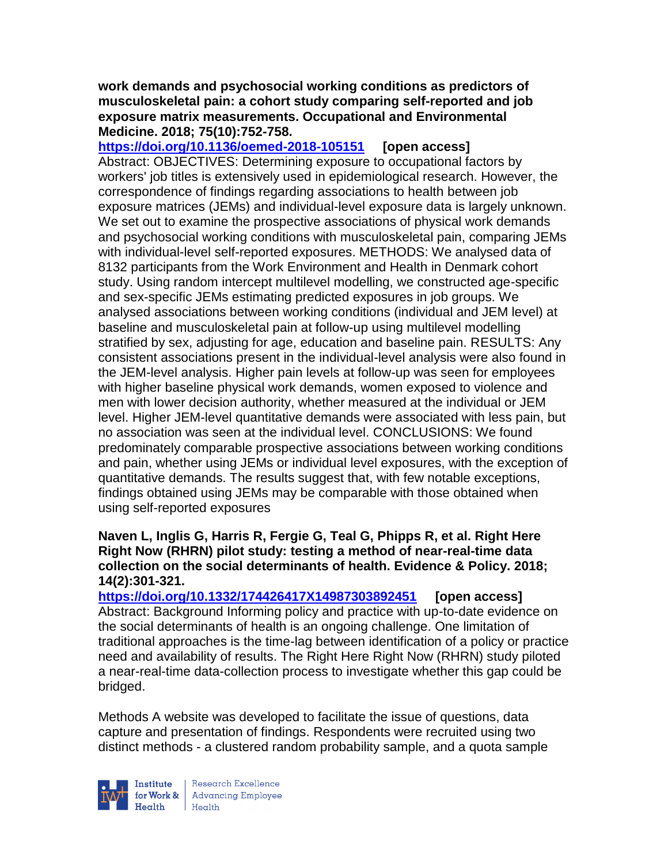#### **work demands and psychosocial working conditions as predictors of musculoskeletal pain: a cohort study comparing self-reported and job exposure matrix measurements. Occupational and Environmental Medicine. 2018; 75(10):752-758.**

**<https://doi.org/10.1136/oemed-2018-105151> [open access]** Abstract: OBJECTIVES: Determining exposure to occupational factors by workers' job titles is extensively used in epidemiological research. However, the correspondence of findings regarding associations to health between job exposure matrices (JEMs) and individual-level exposure data is largely unknown. We set out to examine the prospective associations of physical work demands and psychosocial working conditions with musculoskeletal pain, comparing JEMs with individual-level self-reported exposures. METHODS: We analysed data of 8132 participants from the Work Environment and Health in Denmark cohort study. Using random intercept multilevel modelling, we constructed age-specific and sex-specific JEMs estimating predicted exposures in job groups. We analysed associations between working conditions (individual and JEM level) at baseline and musculoskeletal pain at follow-up using multilevel modelling stratified by sex, adjusting for age, education and baseline pain. RESULTS: Any consistent associations present in the individual-level analysis were also found in the JEM-level analysis. Higher pain levels at follow-up was seen for employees with higher baseline physical work demands, women exposed to violence and men with lower decision authority, whether measured at the individual or JEM level. Higher JEM-level quantitative demands were associated with less pain, but no association was seen at the individual level. CONCLUSIONS: We found predominately comparable prospective associations between working conditions and pain, whether using JEMs or individual level exposures, with the exception of quantitative demands. The results suggest that, with few notable exceptions, findings obtained using JEMs may be comparable with those obtained when using self-reported exposures

### **Naven L, Inglis G, Harris R, Fergie G, Teal G, Phipps R, et al. Right Here Right Now (RHRN) pilot study: testing a method of near-real-time data collection on the social determinants of health. Evidence & Policy. 2018; 14(2):301-321.**

**<https://doi.org/10.1332/174426417X14987303892451> [open access]** Abstract: Background Informing policy and practice with up-to-date evidence on the social determinants of health is an ongoing challenge. One limitation of traditional approaches is the time-lag between identification of a policy or practice need and availability of results. The Right Here Right Now (RHRN) study piloted a near-real-time data-collection process to investigate whether this gap could be bridged.

Methods A website was developed to facilitate the issue of questions, data capture and presentation of findings. Respondents were recruited using two distinct methods - a clustered random probability sample, and a quota sample



Research Excellence for Work & | Advancing Employee Health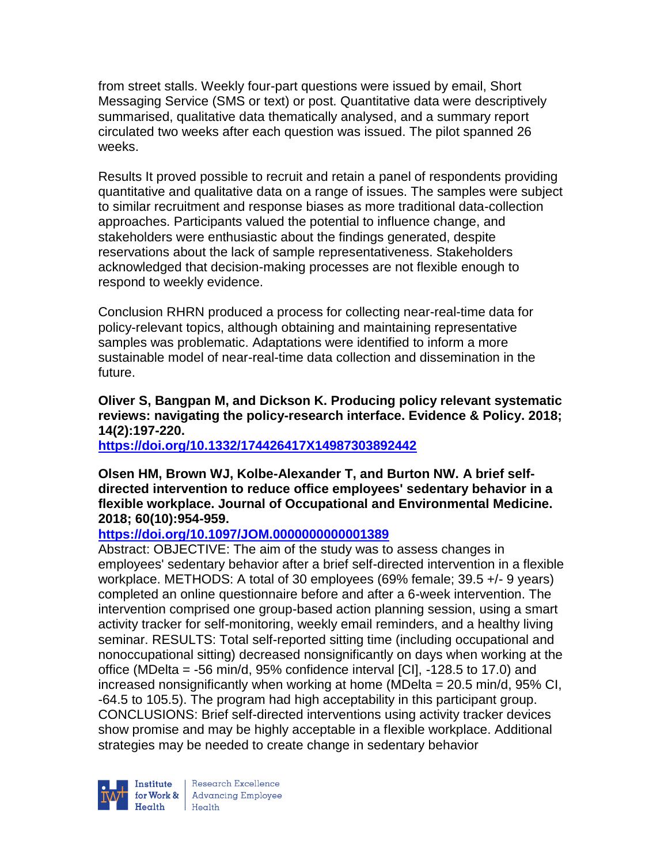from street stalls. Weekly four-part questions were issued by email, Short Messaging Service (SMS or text) or post. Quantitative data were descriptively summarised, qualitative data thematically analysed, and a summary report circulated two weeks after each question was issued. The pilot spanned 26 weeks.

Results It proved possible to recruit and retain a panel of respondents providing quantitative and qualitative data on a range of issues. The samples were subject to similar recruitment and response biases as more traditional data-collection approaches. Participants valued the potential to influence change, and stakeholders were enthusiastic about the findings generated, despite reservations about the lack of sample representativeness. Stakeholders acknowledged that decision-making processes are not flexible enough to respond to weekly evidence.

Conclusion RHRN produced a process for collecting near-real-time data for policy-relevant topics, although obtaining and maintaining representative samples was problematic. Adaptations were identified to inform a more sustainable model of near-real-time data collection and dissemination in the future.

## **Oliver S, Bangpan M, and Dickson K. Producing policy relevant systematic reviews: navigating the policy-research interface. Evidence & Policy. 2018; 14(2):197-220.**

**<https://doi.org/10.1332/174426417X14987303892442>** 

### **Olsen HM, Brown WJ, Kolbe-Alexander T, and Burton NW. A brief selfdirected intervention to reduce office employees' sedentary behavior in a flexible workplace. Journal of Occupational and Environmental Medicine. 2018; 60(10):954-959.**

# **<https://doi.org/10.1097/JOM.0000000000001389>**

Abstract: OBJECTIVE: The aim of the study was to assess changes in employees' sedentary behavior after a brief self-directed intervention in a flexible workplace. METHODS: A total of 30 employees (69% female; 39.5 +/- 9 years) completed an online questionnaire before and after a 6-week intervention. The intervention comprised one group-based action planning session, using a smart activity tracker for self-monitoring, weekly email reminders, and a healthy living seminar. RESULTS: Total self-reported sitting time (including occupational and nonoccupational sitting) decreased nonsignificantly on days when working at the office (MDelta = -56 min/d, 95% confidence interval [CI], -128.5 to 17.0) and increased nonsignificantly when working at home (MDelta = 20.5 min/d, 95% CI, -64.5 to 105.5). The program had high acceptability in this participant group. CONCLUSIONS: Brief self-directed interventions using activity tracker devices show promise and may be highly acceptable in a flexible workplace. Additional strategies may be needed to create change in sedentary behavior

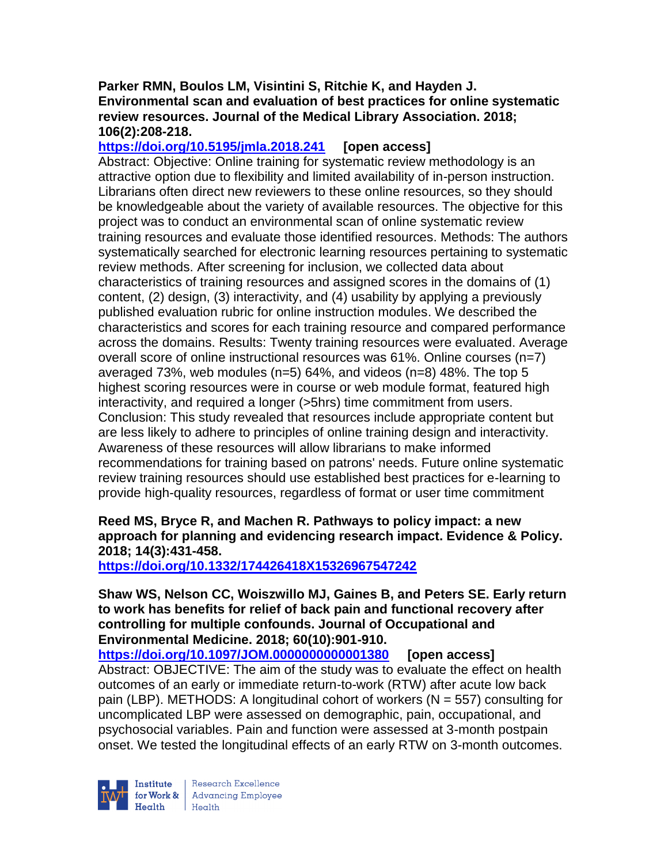### **Parker RMN, Boulos LM, Visintini S, Ritchie K, and Hayden J. Environmental scan and evaluation of best practices for online systematic review resources. Journal of the Medical Library Association. 2018; 106(2):208-218.**

## **<https://doi.org/10.5195/jmla.2018.241> [open access]**

Abstract: Objective: Online training for systematic review methodology is an attractive option due to flexibility and limited availability of in-person instruction. Librarians often direct new reviewers to these online resources, so they should be knowledgeable about the variety of available resources. The objective for this project was to conduct an environmental scan of online systematic review training resources and evaluate those identified resources. Methods: The authors systematically searched for electronic learning resources pertaining to systematic review methods. After screening for inclusion, we collected data about characteristics of training resources and assigned scores in the domains of (1) content, (2) design, (3) interactivity, and (4) usability by applying a previously published evaluation rubric for online instruction modules. We described the characteristics and scores for each training resource and compared performance across the domains. Results: Twenty training resources were evaluated. Average overall score of online instructional resources was 61%. Online courses (n=7) averaged 73%, web modules (n=5) 64%, and videos (n=8) 48%. The top 5 highest scoring resources were in course or web module format, featured high interactivity, and required a longer (>5hrs) time commitment from users. Conclusion: This study revealed that resources include appropriate content but are less likely to adhere to principles of online training design and interactivity. Awareness of these resources will allow librarians to make informed recommendations for training based on patrons' needs. Future online systematic review training resources should use established best practices for e-learning to provide high-quality resources, regardless of format or user time commitment

## **Reed MS, Bryce R, and Machen R. Pathways to policy impact: a new approach for planning and evidencing research impact. Evidence & Policy. 2018; 14(3):431-458.**

**<https://doi.org/10.1332/174426418X15326967547242>** 

### **Shaw WS, Nelson CC, Woiszwillo MJ, Gaines B, and Peters SE. Early return to work has benefits for relief of back pain and functional recovery after controlling for multiple confounds. Journal of Occupational and Environmental Medicine. 2018; 60(10):901-910.**

**<https://doi.org/10.1097/JOM.0000000000001380> [open access]** Abstract: OBJECTIVE: The aim of the study was to evaluate the effect on health outcomes of an early or immediate return-to-work (RTW) after acute low back pain (LBP). METHODS: A longitudinal cohort of workers ( $N = 557$ ) consulting for uncomplicated LBP were assessed on demographic, pain, occupational, and psychosocial variables. Pain and function were assessed at 3-month postpain onset. We tested the longitudinal effects of an early RTW on 3-month outcomes.

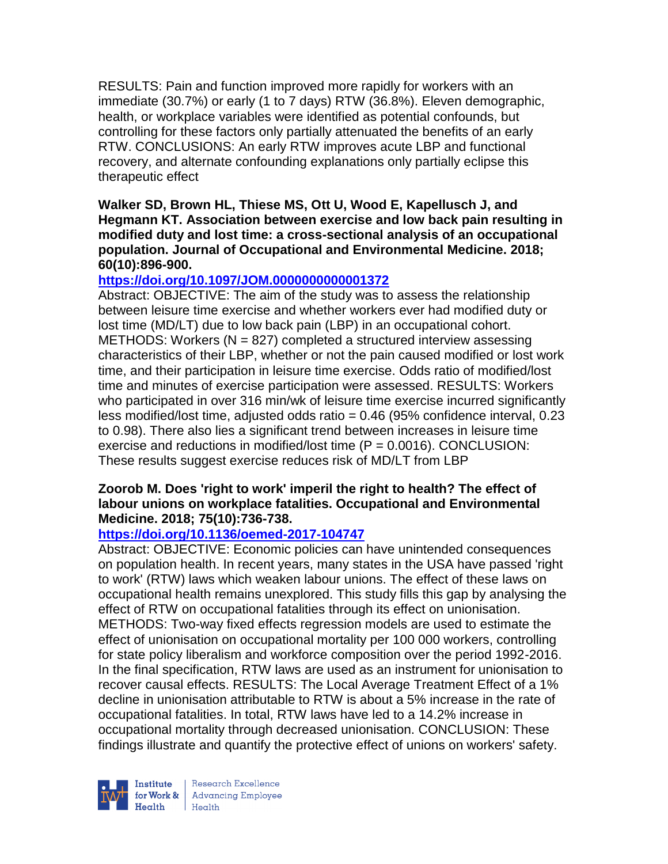RESULTS: Pain and function improved more rapidly for workers with an immediate (30.7%) or early (1 to 7 days) RTW (36.8%). Eleven demographic, health, or workplace variables were identified as potential confounds, but controlling for these factors only partially attenuated the benefits of an early RTW. CONCLUSIONS: An early RTW improves acute LBP and functional recovery, and alternate confounding explanations only partially eclipse this therapeutic effect

**Walker SD, Brown HL, Thiese MS, Ott U, Wood E, Kapellusch J, and Hegmann KT. Association between exercise and low back pain resulting in modified duty and lost time: a cross-sectional analysis of an occupational population. Journal of Occupational and Environmental Medicine. 2018; 60(10):896-900.** 

## **<https://doi.org/10.1097/JOM.0000000000001372>**

Abstract: OBJECTIVE: The aim of the study was to assess the relationship between leisure time exercise and whether workers ever had modified duty or lost time (MD/LT) due to low back pain (LBP) in an occupational cohort. METHODS: Workers ( $N = 827$ ) completed a structured interview assessing characteristics of their LBP, whether or not the pain caused modified or lost work time, and their participation in leisure time exercise. Odds ratio of modified/lost time and minutes of exercise participation were assessed. RESULTS: Workers who participated in over 316 min/wk of leisure time exercise incurred significantly less modified/lost time, adjusted odds ratio = 0.46 (95% confidence interval, 0.23 to 0.98). There also lies a significant trend between increases in leisure time exercise and reductions in modified/lost time  $(P = 0.0016)$ . CONCLUSION: These results suggest exercise reduces risk of MD/LT from LBP

## **Zoorob M. Does 'right to work' imperil the right to health? The effect of labour unions on workplace fatalities. Occupational and Environmental Medicine. 2018; 75(10):736-738.**

## **<https://doi.org/10.1136/oemed-2017-104747>**

Abstract: OBJECTIVE: Economic policies can have unintended consequences on population health. In recent years, many states in the USA have passed 'right to work' (RTW) laws which weaken labour unions. The effect of these laws on occupational health remains unexplored. This study fills this gap by analysing the effect of RTW on occupational fatalities through its effect on unionisation. METHODS: Two-way fixed effects regression models are used to estimate the effect of unionisation on occupational mortality per 100 000 workers, controlling for state policy liberalism and workforce composition over the period 1992-2016. In the final specification, RTW laws are used as an instrument for unionisation to recover causal effects. RESULTS: The Local Average Treatment Effect of a 1% decline in unionisation attributable to RTW is about a 5% increase in the rate of occupational fatalities. In total, RTW laws have led to a 14.2% increase in occupational mortality through decreased unionisation. CONCLUSION: These findings illustrate and quantify the protective effect of unions on workers' safety.



Research Excellence for Work & | Advancing Employee Health